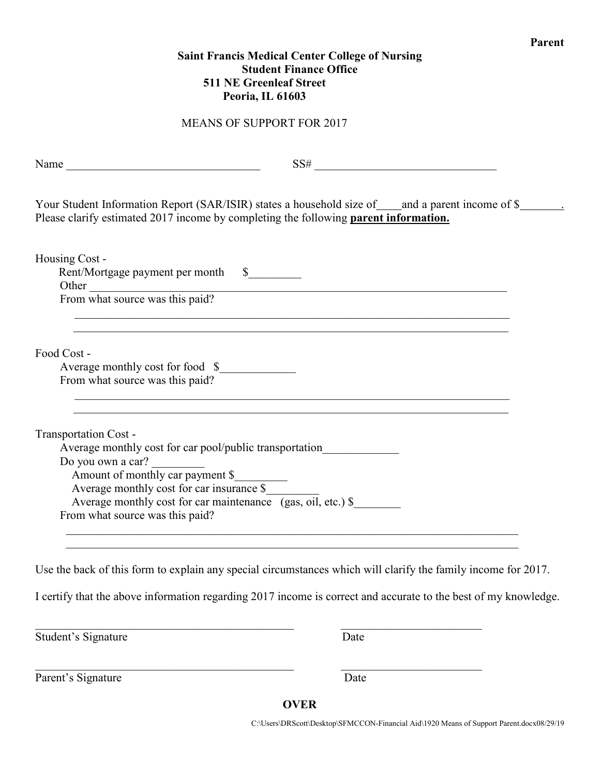## **Saint Francis Medical Center College of Nursing Student Finance Office 511 NE Greenleaf Street Peoria, IL 61603**

**Parent**

## MEANS OF SUPPORT FOR 2017

|                                                                     | Your Student Information Report (SAR/ISIR) states a household size of ____and a parent income of \$________.<br>Please clarify estimated 2017 income by completing the following parent information. |
|---------------------------------------------------------------------|------------------------------------------------------------------------------------------------------------------------------------------------------------------------------------------------------|
|                                                                     |                                                                                                                                                                                                      |
| Housing Cost -                                                      |                                                                                                                                                                                                      |
| Rent/Mortgage payment per month \$                                  |                                                                                                                                                                                                      |
|                                                                     | Other Trom what source was this paid?                                                                                                                                                                |
|                                                                     |                                                                                                                                                                                                      |
|                                                                     |                                                                                                                                                                                                      |
| Food Cost -                                                         |                                                                                                                                                                                                      |
| Average monthly cost for food \$<br>From what source was this paid? |                                                                                                                                                                                                      |
|                                                                     |                                                                                                                                                                                                      |
|                                                                     |                                                                                                                                                                                                      |
| Transportation Cost -                                               |                                                                                                                                                                                                      |
|                                                                     | Average monthly cost for car pool/public transportation                                                                                                                                              |
| Do you own a car?                                                   |                                                                                                                                                                                                      |
| Amount of monthly car payment \$                                    |                                                                                                                                                                                                      |
| Average monthly cost for car insurance \$                           |                                                                                                                                                                                                      |
|                                                                     | Average monthly cost for car maintenance (gas, oil, etc.) \$                                                                                                                                         |
| From what source was this paid?                                     |                                                                                                                                                                                                      |

Use the back of this form to explain any special circumstances which will clarify the family income for 2017.

I certify that the above information regarding 2017 income is correct and accurate to the best of my knowledge.

Student's Signature Date

Parent's Signature Date

**OVER**

 $\mathcal{L}_\text{max}$  , and the contribution of the contribution of the contribution of the contribution of the contribution of the contribution of the contribution of the contribution of the contribution of the contribution of t

C:\Users\DRScott\Desktop\SFMCCON-Financial Aid\1920 Means of Support Parent.docx08/29/19